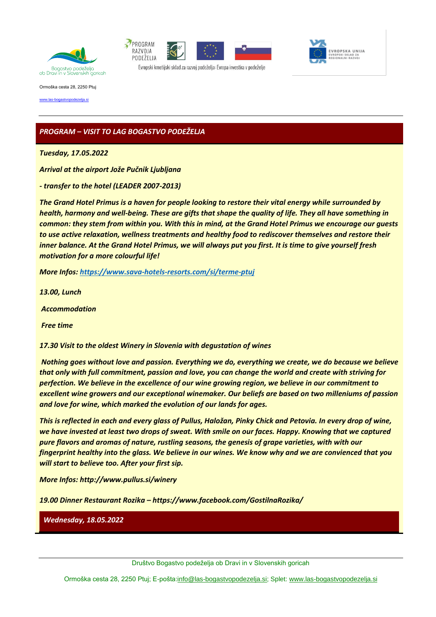





Evropski kmetijski sklad za razvoj podeželja: Evropa investira v podeželje

Ormoška cesta 28, 2250 Ptuj

[www.las-bogastvopodezelja.si](http://www.las-bogastvopodezelja.si/) 

# *PROGRAM – VISIT TO LAG BOGASTVO PODEŽELJA*

*Tuesday, 17.05.2022*

*Arrival at the airport Jože Pučnik Ljubljana*

*- transfer to the hotel (LEADER 2007-2013)* 

*The Grand Hotel Primus is a haven for people looking to restore their vital energy while surrounded by health, harmony and well-being. These are gifts that shape the quality of life. They all have something in common: they stem from within you. With this in mind, at the Grand Hotel Primus we encourage our guests to use active relaxation, wellness treatments and healthy food to rediscover themselves and restore their inner balance. At the Grand Hotel Primus, we will always put you first. It is time to give yourself fresh motivation for a more colourful life!*

*More Infos: <https://www.sava-hotels-resorts.com/si/terme-ptuj>*

*13.00, Lunch* 

*Accommodation*

*Free time*

*17.30 Visit to the oldest Winery in Slovenia with degustation of wines*

*Nothing goes without love and passion. Everything we do, everything we create, we do because we believe that only with full commitment, passion and love, you can change the world and create with striving for perfection. We believe in the excellence of our wine growing region, we believe in our commitment to excellent wine growers and our exceptional winemaker. Our beliefs are based on two milleniums of passion and love for wine, which marked the evolution of our lands for ages.*

*This is reflected in each and every glass of Pullus, Haložan, Pinky Chick and Petovia. In every drop of wine, we have invested at least two drops of sweat. With smile on our faces. Happy. Knowing that we captured pure flavors and aromas of nature, rustling seasons, the genesis of grape varieties, with with our fingerprint healthy into the glass. We believe in our wines. We know why and we are convienced that you will start to believe too. After your first sip.*

*More Infos: http://www.pullus.si/winery*

*19.00 Dinner Restaurant Rozika – https://www.facebook.com/GostilnaRozika/*

*Wednesday, 18.05.2022*

Ormoška cesta 28, 2250 Ptuj; E-pošta: info@las-bogastvopodezelja.si; Splet: [www.las-bogastvopodezelja.si](http://www.las-bogastvopodezelja.si/)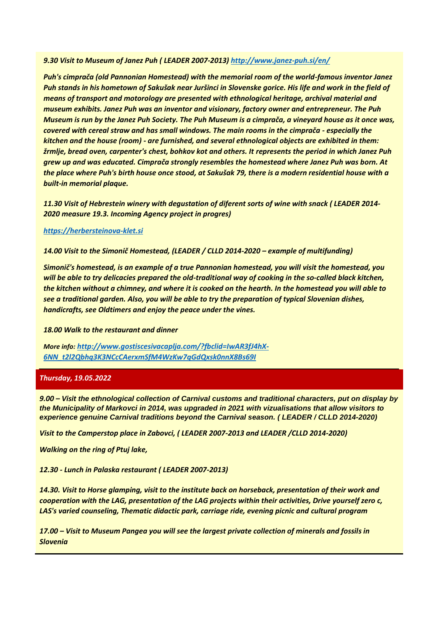## *9.30 Visit to Museum of Janez Puh ( LEADER 2007-2013) <http://www.janez-puh.si/en/>*

*Puh's cimprača (old Pannonian Homestead) with the memorial room of the world-famous inventor Janez Puh stands in his hometown of Sakušak near Juršinci in Slovenske gorice. His life and work in the field of means of transport and motorology are presented with ethnological heritage, archival material and museum exhibits. Janez Puh was an inventor and visionary, factory owner and entrepreneur. The Puh Museum is run by the Janez Puh Society. The Puh Museum is a cimprača, a vineyard house as it once was, covered with cereal straw and has small windows. The main rooms in the cimprača - especially the kitchen and the house (room) - are furnished, and several ethnological objects are exhibited in them: žrmlje, bread oven, carpenter's chest, bohkov kot and others. It represents the period in which Janez Puh grew up and was educated. Cimprača strongly resembles the homestead where Janez Puh was born. At the place where Puh's birth house once stood, at Sakušak 79, there is a modern residential house with a built-in memorial plaque.*

*11.30 Visit of Hebrestein winery with degustation of diferent sorts of wine with snack ( LEADER 2014- 2020 measure 19.3. Incoming Agency project in progres)*

### *[https://herbersteinova-klet.si](https://herbersteinova-klet.si/)*

*14.00 Visit to the Simonič Homestead, (LEADER / CLLD 2014-2020 – example of multifunding)*

*Simonič's homestead, is an example of a true Pannonian homestead, you will visit the homestead, you will be able to try delicacies prepared the old-traditional way of cooking in the so-called black kitchen, the kitchen without a chimney, and where it is cooked on the hearth. In the homestead you will able to see a traditional garden. Also, you will be able to try the preparation of typical Slovenian dishes, handicrafts, see Oldtimers and enjoy the peace under the vines.*

### *18.00 Walk to the restaurant and dinner*

*More info: [http://www.gostiscesivacaplja.com/?fbclid=IwAR3fJ4hX-](http://www.gostiscesivacaplja.com/?fbclid=IwAR3fJ4hX-6NN_t2l2Qbhq3K3NCcCAerxmSfM4WzKw7qGdQxsk0nnX8Bs69I)[6NN\\_t2l2Qbhq3K3NCcCAerxmSfM4WzKw7qGdQxsk0nnX8Bs69I](http://www.gostiscesivacaplja.com/?fbclid=IwAR3fJ4hX-6NN_t2l2Qbhq3K3NCcCAerxmSfM4WzKw7qGdQxsk0nnX8Bs69I)*

### *Thursday, 19.05.2022*

*9.00 – Visit the ethnological collection of Carnival customs and traditional characters, put on display by the Municipality of Markovci in 2014, was upgraded in 2021 with vizualisations that allow visitors to experience genuine Carnival traditions beyond the Carnival season. ( LEADER / CLLD 2014-2020)*

*Visit to the Camperstop place in Zabovci, ( LEADER 2007-2013 and LEADER /CLLD 2014-2020)*

*Walking on the ring of Ptuj lake,*

*12.30 - Lunch in Palaska restaurant ( LEADER 2007-2013)*

*14.30. Visit to Horse glamping, visit to the institute back on horseback, presentation of their work and cooperation with the LAG, presentation of the LAG projects within their activities, Drive yourself zero c, LAS's varied counseling, Thematic didactic park, carriage ride, evening picnic and cultural program*

*17.00 – Visit to Museum Pangea you will see the largest private collection of minerals and fossils in Slovenia*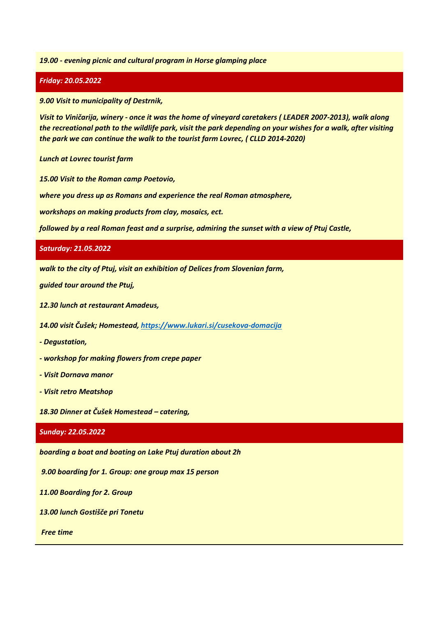### *19.00 - evening picnic and cultural program in Horse glamping place*

### *Friday: 20.05.2022*

*9.00 Visit to municipality of Destrnik,* 

*Visit to Viničarija, winery - once it was the home of vineyard caretakers ( LEADER 2007-2013), walk along the recreational path to the wildlife park, visit the park depending on your wishes for a walk, after visiting the park we can continue the walk to the tourist farm Lovrec, ( CLLD 2014-2020)*

#### *Lunch at Lovrec tourist farm*

*15.00 Visit to the Roman camp Poetovio,* 

*where you dress up as Romans and experience the real Roman atmosphere,*

*workshops on making products from clay, mosaics, ect.* 

*followed by a real Roman feast and a surprise, admiring the sunset with a view of Ptuj Castle,*

#### *Saturday: 21.05.2022*

*walk to the city of Ptuj, visit an exhibition of Delices from Slovenian farm,* 

*guided tour around the Ptuj,* 

*12.30 lunch at restaurant Amadeus,* 

*14.00 visit Čušek; Homestead[, https://www.lukari.si/cusekova-domacija](https://www.lukari.si/cusekova-domacija)*

- *- Degustation,*
- *- workshop for making flowers from crepe paper*
- *- Visit Dornava manor*
- *- Visit retro Meatshop*

*18.30 Dinner at Čušek Homestead – catering,* 

#### *Sunday: 22.05.2022*

*boarding a boat and boating on Lake Ptuj duration about 2h*

*9.00 boarding for 1. Group: one group max 15 person*

*11.00 Boarding for 2. Group*

*13.00 lunch Gostišče pri Tonetu*

*Free time*